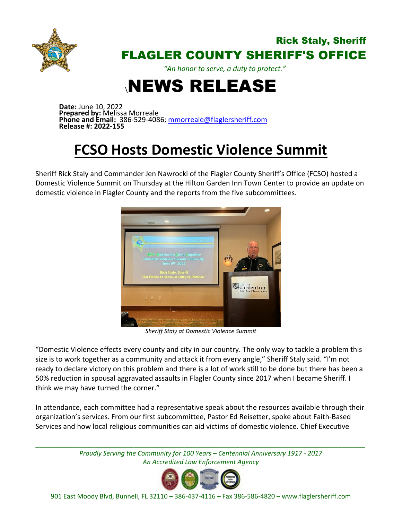

## Rick Staly, Sheriff FLAGLER COUNTY SHERIFF'S OFFICE

*"An honor to serve, a duty to protect."*

## \NEWS RELEASE

**Date:** June 10, 2022 **Prepared by:** Melissa Morreale **Phone and Email:** 386-529-4086; [mmorreale@flaglersheriff.com](mailto:mmorreale@flaglersheriff.com) **Release #: 2022-155**

## **FCSO Hosts Domestic Violence Summit**

Sheriff Rick Staly and Commander Jen Nawrocki of the Flagler County Sheriff's Office (FCSO) hosted a Domestic Violence Summit on Thursday at the Hilton Garden Inn Town Center to provide an update on domestic violence in Flagler County and the reports from the five subcommittees.



*Sheriff Staly at Domestic Violence Summit*

"Domestic Violence effects every county and city in our country. The only way to tackle a problem this size is to work together as a community and attack it from every angle," Sheriff Staly said. "I'm not ready to declare victory on this problem and there is a lot of work still to be done but there has been a 50% reduction in spousal aggravated assaults in Flagler County since 2017 when I became Sheriff. I think we may have turned the corner."

In attendance, each committee had a representative speak about the resources available through their organization's services. From our first subcommittee, Pastor Ed Reisetter, spoke about Faith-Based Services and how local religious communities can aid victims of domestic violence. Chief Executive

*\_\_\_\_\_\_\_\_\_\_\_\_\_\_\_\_\_\_\_\_\_\_\_\_\_\_\_\_\_\_\_\_\_\_\_\_\_\_\_\_\_\_\_\_\_\_\_\_\_\_\_\_\_\_\_\_\_\_\_\_\_\_\_\_\_\_\_\_\_\_\_\_\_\_\_\_\_\_\_\_\_\_\_\_ Proudly Serving the Community for 100 Years – Centennial Anniversary 1917 - 2017 An Accredited Law Enforcement Agency*



901 East Moody Blvd, Bunnell, FL 32110 – 386-437-4116 – Fax 386-586-4820 – [www.flaglersheriff.com](http://www.flaglersheriff.com/)